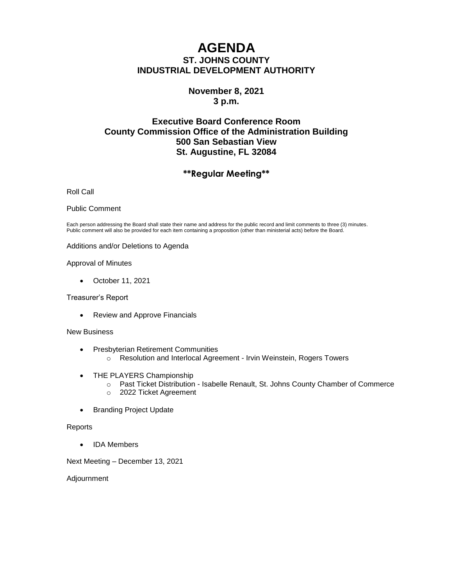# **AGENDA ST. JOHNS COUNTY INDUSTRIAL DEVELOPMENT AUTHORITY**

# **November 8, 2021 3 p.m.**

# **Executive Board Conference Room County Commission Office of the Administration Building 500 San Sebastian View St. Augustine, FL 32084**

# **\*\*Regular Meeting\*\***

Roll Call

#### Public Comment

Each person addressing the Board shall state their name and address for the public record and limit comments to three (3) minutes. Public comment will also be provided for each item containing a proposition (other than ministerial acts) before the Board.

Additions and/or Deletions to Agenda

#### Approval of Minutes

• October 11, 2021

Treasurer's Report

• Review and Approve Financials

#### New Business

- Presbyterian Retirement Communities
	- o Resolution and Interlocal Agreement Irvin Weinstein, Rogers Towers
- THE PLAYERS Championship
	- o Past Ticket Distribution Isabelle Renault, St. Johns County Chamber of Commerce
	- o 2022 Ticket Agreement
- Branding Project Update

#### **Reports**

• IDA Members

Next Meeting – December 13, 2021

Adjournment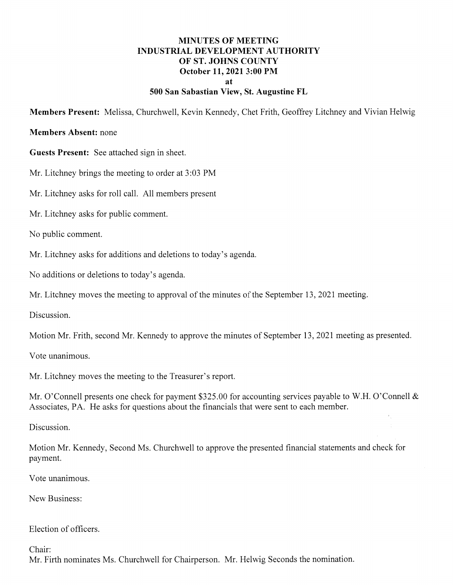## **MINUTES OF MEETING INDUSTRIAL DEVELOPMENT AUTHORITY** OF ST. JOHNS COUNTY October 11, 2021 3:00 PM at 500 San Sabastian View, St. Augustine FL

Members Present: Melissa, Churchwell, Kevin Kennedy, Chet Frith, Geoffrey Litchney and Vivian Helwig

### **Members Absent: none**

Guests Present: See attached sign in sheet.

Mr. Litchney brings the meeting to order at 3:03 PM

Mr. Litchney asks for roll call. All members present

Mr. Litchney asks for public comment.

No public comment.

Mr. Litchney asks for additions and deletions to today's agenda.

No additions or deletions to today's agenda.

Mr. Litchney moves the meeting to approval of the minutes of the September 13, 2021 meeting.

Discussion.

Motion Mr. Frith, second Mr. Kennedy to approve the minutes of September 13, 2021 meeting as presented.

Vote unanimous.

Mr. Litchney moves the meeting to the Treasurer's report.

Mr. O'Connell presents one check for payment \$325.00 for accounting services payable to W.H. O'Connell & Associates, PA. He asks for questions about the financials that were sent to each member.

Discussion.

Motion Mr. Kennedy, Second Ms. Churchwell to approve the presented financial statements and check for payment.

Vote unanimous.

New Business:

#### Election of officers.

Chair:

Mr. Firth nominates Ms. Churchwell for Chairperson. Mr. Helwig Seconds the nomination.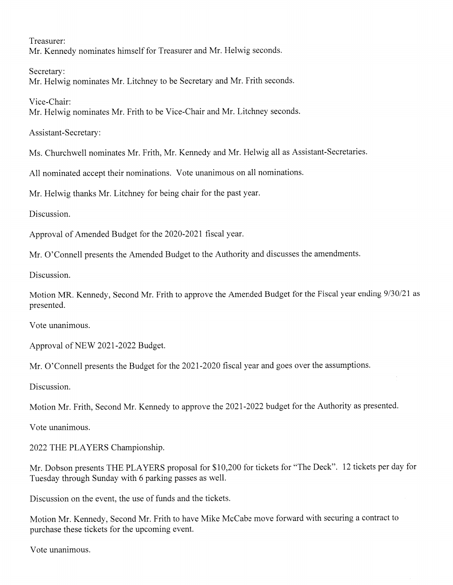Treasurer: Mr. Kennedy nominates himself for Treasurer and Mr. Helwig seconds.

Secretary: Mr. Helwig nominates Mr. Litchney to be Secretary and Mr. Frith seconds.

Vice-Chair: Mr. Helwig nominates Mr. Frith to be Vice-Chair and Mr. Litchney seconds.

Assistant-Secretary:

Ms. Churchwell nominates Mr. Frith, Mr. Kennedy and Mr. Helwig all as Assistant-Secretaries.

All nominated accept their nominations. Vote unanimous on all nominations.

Mr. Helwig thanks Mr. Litchney for being chair for the past year.

Discussion.

Approval of Amended Budget for the 2020-2021 fiscal year.

Mr. O'Connell presents the Amended Budget to the Authority and discusses the amendments.

Discussion.

Motion MR. Kennedy, Second Mr. Frith to approve the Amended Budget for the Fiscal year ending 9/30/21 as presented.

Vote unanimous.

Approval of NEW 2021-2022 Budget.

Mr. O'Connell presents the Budget for the 2021-2020 fiscal year and goes over the assumptions.

Discussion.

Motion Mr. Frith, Second Mr. Kennedy to approve the 2021-2022 budget for the Authority as presented.

Vote unanimous.

2022 THE PLAYERS Championship.

Mr. Dobson presents THE PLAYERS proposal for \$10,200 for tickets for "The Deck". 12 tickets per day for Tuesday through Sunday with 6 parking passes as well.

Discussion on the event, the use of funds and the tickets.

Motion Mr. Kennedy, Second Mr. Frith to have Mike McCabe move forward with securing a contract to purchase these tickets for the upcoming event.

Vote unanimous.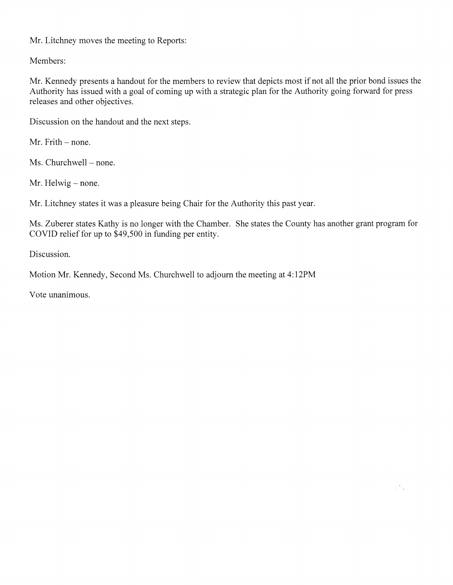Mr. Litchney moves the meeting to Reports:

Members:

Mr. Kennedy presents a handout for the members to review that depicts most if not all the prior bond issues the Authority has issued with a goal of coming up with a strategic plan for the Authority going forward for press releases and other objectives.

Discussion on the handout and the next steps.

Mr. Frith – none.

Ms. Churchwell - none.

Mr. Helwig – none.

Mr. Litchney states it was a pleasure being Chair for the Authority this past year.

Ms. Zuberer states Kathy is no longer with the Chamber. She states the County has another grant program for COVID relief for up to \$49,500 in funding per entity.

 $\tau^A_{\rm eff}$ 

Discussion.

Motion Mr. Kennedy, Second Ms. Churchwell to adjourn the meeting at 4:12PM

Vote unanimous.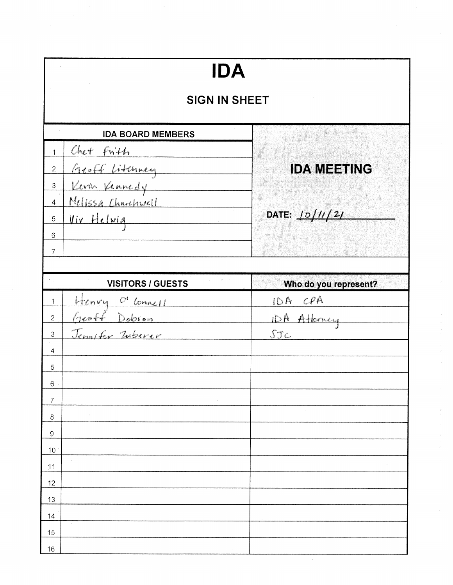| <b>IDA</b>                                                                   |                       |  |
|------------------------------------------------------------------------------|-----------------------|--|
| <b>SIGN IN SHEET</b>                                                         |                       |  |
| <b>IDA BOARD MEMBERS</b>                                                     |                       |  |
| Chet Frith<br>$-1$                                                           |                       |  |
| <u>Aroff Litenney</u><br>Kom Vennedy<br>Melissa Charchwell<br>$\overline{2}$ | <b>IDA MEETING</b>    |  |
| 3                                                                            |                       |  |
| $\overline{4}$                                                               |                       |  |
| Viv Helwig<br>$\sqrt{5}$                                                     | DATE: 10/11/21        |  |
| 6                                                                            |                       |  |
| $\overline{7}$                                                               |                       |  |
| <b>VISITORS / GUESTS</b>                                                     | Who do you represent? |  |
| <u>Henry O'Connell</u><br>1                                                  | IDA CPA               |  |
| $\overline{2}$                                                               | iDA Attorney          |  |
| Geoff Dobson<br>Jennifer Inberer<br>3                                        | STc                   |  |
| 4                                                                            |                       |  |
| 5                                                                            |                       |  |
| $\epsilon$                                                                   |                       |  |
| 7                                                                            |                       |  |
| 8                                                                            |                       |  |
| $\mathsf g$                                                                  |                       |  |
| $10$                                                                         |                       |  |
| 11<br>12                                                                     |                       |  |
| 13                                                                           |                       |  |
| 14                                                                           |                       |  |
| 15                                                                           |                       |  |
| 16                                                                           |                       |  |

 $\hat{\mathcal{L}}$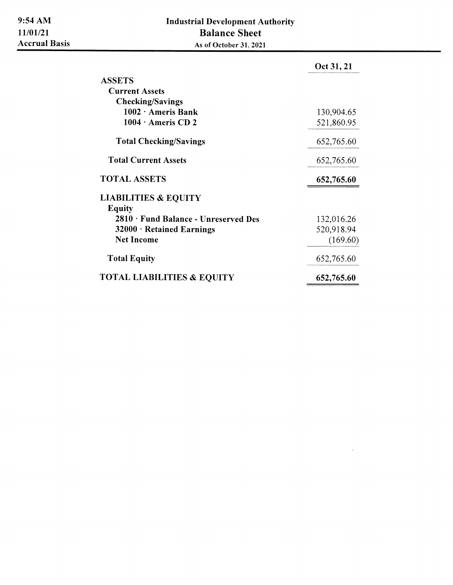|                                            | Oct 31, 21 |
|--------------------------------------------|------------|
| <b>ASSETS</b>                              |            |
| <b>Current Assets</b>                      |            |
| <b>Checking/Savings</b>                    |            |
| $1002 \cdot$ Ameris Bank                   | 130,904.65 |
| $1004 \cdot$ Ameris CD 2                   | 521,860.95 |
| <b>Total Checking/Savings</b>              | 652,765.60 |
| <b>Total Current Assets</b>                | 652,765.60 |
| <b>TOTAL ASSETS</b>                        | 652,765.60 |
| <b>LIABILITIES &amp; EQUITY</b>            |            |
| <b>Equity</b>                              |            |
| $2810 \cdot$ Fund Balance - Unreserved Des | 132,016.26 |
| 32000 · Retained Earnings                  | 520,918.94 |
| <b>Net Income</b>                          | (169.60)   |
| <b>Total Equity</b>                        | 652,765.60 |
| <b>TOTAL LIABILITIES &amp; EQUITY</b>      | 652,765.60 |

 $\bar{\rm v}$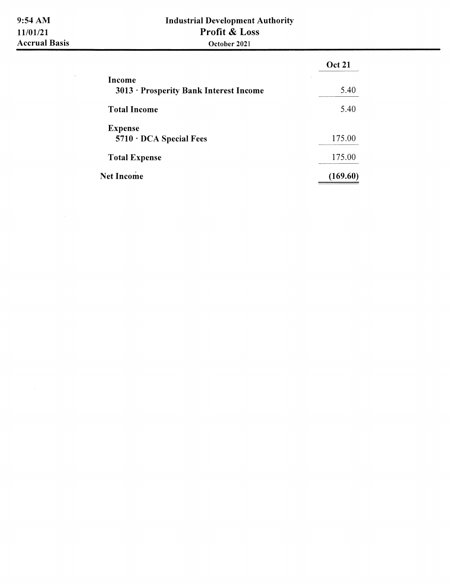$\mathcal{L}^{\text{max}}_{\text{max}}$ 

# **Industrial Development Authority** Profit & Loss October 2021

|                                                  | <b>Oct 21</b> |
|--------------------------------------------------|---------------|
| Income<br>3013 • Prosperity Bank Interest Income | 5.40          |
| <b>Total Income</b>                              | 5.40          |
| <b>Expense</b><br>$5710 \cdot DCA$ Special Fees  | 175.00        |
| <b>Total Expense</b>                             | 175.00        |
| <b>Net Income</b>                                | (169.60)      |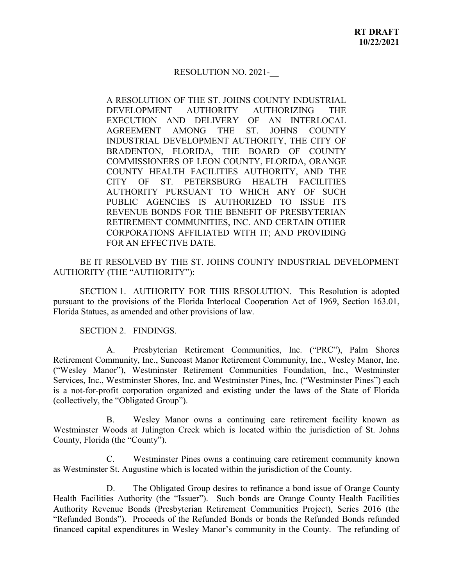#### RESOLUTION NO. 2021-\_\_

A RESOLUTION OF THE ST. JOHNS COUNTY INDUSTRIAL DEVELOPMENT AUTHORITY AUTHORIZING THE EXECUTION AND DELIVERY OF AN INTERLOCAL AGREEMENT AMONG THE ST. JOHNS COUNTY INDUSTRIAL DEVELOPMENT AUTHORITY, THE CITY OF BRADENTON, FLORIDA, THE BOARD OF COUNTY COMMISSIONERS OF LEON COUNTY, FLORIDA, ORANGE COUNTY HEALTH FACILITIES AUTHORITY, AND THE CITY OF ST. PETERSBURG HEALTH FACILITIES AUTHORITY PURSUANT TO WHICH ANY OF SUCH PUBLIC AGENCIES IS AUTHORIZED TO ISSUE ITS REVENUE BONDS FOR THE BENEFIT OF PRESBYTERIAN RETIREMENT COMMUNITIES, INC. AND CERTAIN OTHER CORPORATIONS AFFILIATED WITH IT; AND PROVIDING FOR AN EFFECTIVE DATE.

BE IT RESOLVED BY THE ST. JOHNS COUNTY INDUSTRIAL DEVELOPMENT AUTHORITY (THE "AUTHORITY"):

SECTION 1. AUTHORITY FOR THIS RESOLUTION. This Resolution is adopted pursuant to the provisions of the Florida Interlocal Cooperation Act of 1969, Section 163.01, Florida Statues, as amended and other provisions of law.

#### SECTION 2. FINDINGS.

A. Presbyterian Retirement Communities, Inc. ("PRC"), Palm Shores Retirement Community, Inc., Suncoast Manor Retirement Community, Inc., Wesley Manor, Inc. ("Wesley Manor"), Westminster Retirement Communities Foundation, Inc., Westminster Services, Inc., Westminster Shores, Inc. and Westminster Pines, Inc. ("Westminster Pines") each is a not-for-profit corporation organized and existing under the laws of the State of Florida (collectively, the "Obligated Group").

B. Wesley Manor owns a continuing care retirement facility known as Westminster Woods at Julington Creek which is located within the jurisdiction of St. Johns County, Florida (the "County").

C. Westminster Pines owns a continuing care retirement community known as Westminster St. Augustine which is located within the jurisdiction of the County.

D. The Obligated Group desires to refinance a bond issue of Orange County Health Facilities Authority (the "Issuer"). Such bonds are Orange County Health Facilities Authority Revenue Bonds (Presbyterian Retirement Communities Project), Series 2016 (the "Refunded Bonds"). Proceeds of the Refunded Bonds or bonds the Refunded Bonds refunded financed capital expenditures in Wesley Manor's community in the County. The refunding of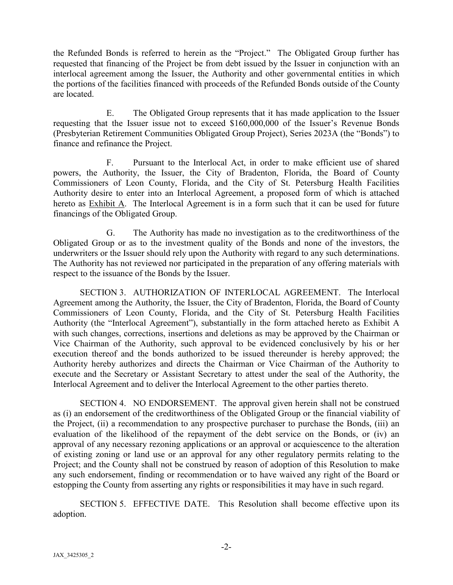the Refunded Bonds is referred to herein as the "Project." The Obligated Group further has requested that financing of the Project be from debt issued by the Issuer in conjunction with an interlocal agreement among the Issuer, the Authority and other governmental entities in which the portions of the facilities financed with proceeds of the Refunded Bonds outside of the County are located.

E. The Obligated Group represents that it has made application to the Issuer requesting that the Issuer issue not to exceed \$160,000,000 of the Issuer's Revenue Bonds (Presbyterian Retirement Communities Obligated Group Project), Series 2023A (the "Bonds") to finance and refinance the Project.

F. Pursuant to the Interlocal Act, in order to make efficient use of shared powers, the Authority, the Issuer, the City of Bradenton, Florida, the Board of County Commissioners of Leon County, Florida, and the City of St. Petersburg Health Facilities Authority desire to enter into an Interlocal Agreement, a proposed form of which is attached hereto as Exhibit A. The Interlocal Agreement is in a form such that it can be used for future financings of the Obligated Group.

G. The Authority has made no investigation as to the creditworthiness of the Obligated Group or as to the investment quality of the Bonds and none of the investors, the underwriters or the Issuer should rely upon the Authority with regard to any such determinations. The Authority has not reviewed nor participated in the preparation of any offering materials with respect to the issuance of the Bonds by the Issuer.

SECTION 3. AUTHORIZATION OF INTERLOCAL AGREEMENT. The Interlocal Agreement among the Authority, the Issuer, the City of Bradenton, Florida, the Board of County Commissioners of Leon County, Florida, and the City of St. Petersburg Health Facilities Authority (the "Interlocal Agreement"), substantially in the form attached hereto as Exhibit A with such changes, corrections, insertions and deletions as may be approved by the Chairman or Vice Chairman of the Authority, such approval to be evidenced conclusively by his or her execution thereof and the bonds authorized to be issued thereunder is hereby approved; the Authority hereby authorizes and directs the Chairman or Vice Chairman of the Authority to execute and the Secretary or Assistant Secretary to attest under the seal of the Authority, the Interlocal Agreement and to deliver the Interlocal Agreement to the other parties thereto.

SECTION 4. NO ENDORSEMENT. The approval given herein shall not be construed as (i) an endorsement of the creditworthiness of the Obligated Group or the financial viability of the Project, (ii) a recommendation to any prospective purchaser to purchase the Bonds, (iii) an evaluation of the likelihood of the repayment of the debt service on the Bonds, or (iv) an approval of any necessary rezoning applications or an approval or acquiescence to the alteration of existing zoning or land use or an approval for any other regulatory permits relating to the Project; and the County shall not be construed by reason of adoption of this Resolution to make any such endorsement, finding or recommendation or to have waived any right of the Board or estopping the County from asserting any rights or responsibilities it may have in such regard.

SECTION 5. EFFECTIVE DATE. This Resolution shall become effective upon its adoption.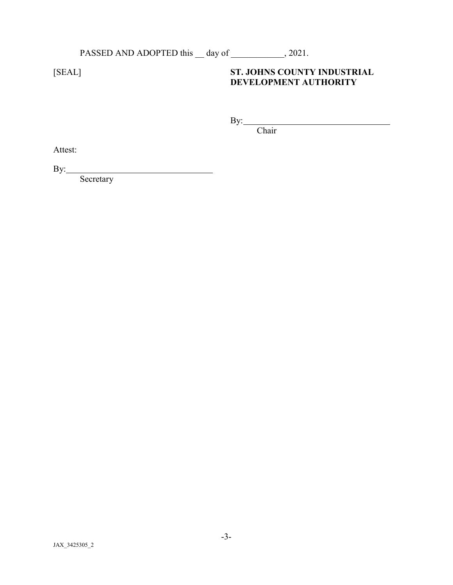# PASSED AND ADOPTED this \_\_ day of \_\_\_\_\_\_\_\_\_\_\_, 2021.

<u> 1980 - Johann Barn, mars et al. (</u>

# [SEAL] **ST. JOHNS COUNTY INDUSTRIAL DEVELOPMENT AUTHORITY**

By:

Chair

Attest:

By:

**Secretary**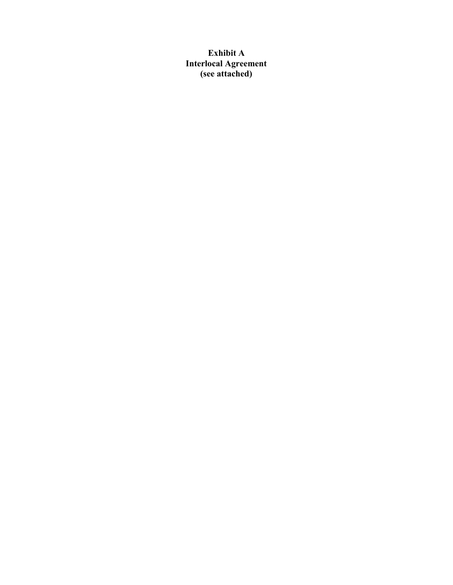**Exhibit A Interlocal Agreement (see attached)**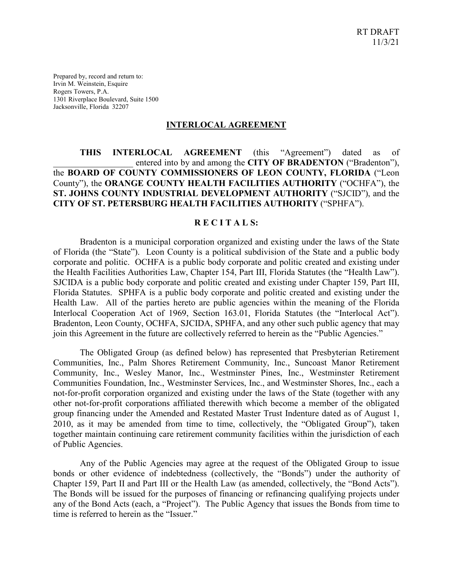Prepared by, record and return to: Irvin M. Weinstein, Esquire Rogers Towers, P.A. 1301 Riverplace Boulevard, Suite 1500 Jacksonville, Florida 32207

#### **INTERLOCAL AGREEMENT**

#### **THIS INTERLOCAL AGREEMENT** (this "Agreement") dated as of entered into by and among the **CITY OF BRADENTON** ("Bradenton"), the **BOARD OF COUNTY COMMISSIONERS OF LEON COUNTY, FLORIDA** ("Leon County"), the **ORANGE COUNTY HEALTH FACILITIES AUTHORITY** ("OCHFA"), the **ST. JOHNS COUNTY INDUSTRIAL DEVELOPMENT AUTHORITY** ("SJCID"), and the **CITY OF ST. PETERSBURG HEALTH FACILITIES AUTHORITY** ("SPHFA").

#### **R E C I T A L S:**

Bradenton is a municipal corporation organized and existing under the laws of the State of Florida (the "State"). Leon County is a political subdivision of the State and a public body corporate and politic. OCHFA is a public body corporate and politic created and existing under the Health Facilities Authorities Law, Chapter 154, Part III, Florida Statutes (the "Health Law"). SJCIDA is a public body corporate and politic created and existing under Chapter 159, Part III, Florida Statutes. SPHFA is a public body corporate and politic created and existing under the Health Law. All of the parties hereto are public agencies within the meaning of the Florida Interlocal Cooperation Act of 1969, Section 163.01, Florida Statutes (the "Interlocal Act"). Bradenton, Leon County, OCHFA, SJCIDA, SPHFA, and any other such public agency that may join this Agreement in the future are collectively referred to herein as the "Public Agencies."

The Obligated Group (as defined below) has represented that Presbyterian Retirement Communities, Inc., Palm Shores Retirement Community, Inc., Suncoast Manor Retirement Community, Inc., Wesley Manor, Inc., Westminster Pines, Inc., Westminster Retirement Communities Foundation, Inc., Westminster Services, Inc., and Westminster Shores, Inc., each a not-for-profit corporation organized and existing under the laws of the State (together with any other not-for-profit corporations affiliated therewith which become a member of the obligated group financing under the Amended and Restated Master Trust Indenture dated as of August 1, 2010, as it may be amended from time to time, collectively, the "Obligated Group"), taken together maintain continuing care retirement community facilities within the jurisdiction of each of Public Agencies.

Any of the Public Agencies may agree at the request of the Obligated Group to issue bonds or other evidence of indebtedness (collectively, the "Bonds") under the authority of Chapter 159, Part II and Part III or the Health Law (as amended, collectively, the "Bond Acts"). The Bonds will be issued for the purposes of financing or refinancing qualifying projects under any of the Bond Acts (each, a "Project"). The Public Agency that issues the Bonds from time to time is referred to herein as the "Issuer."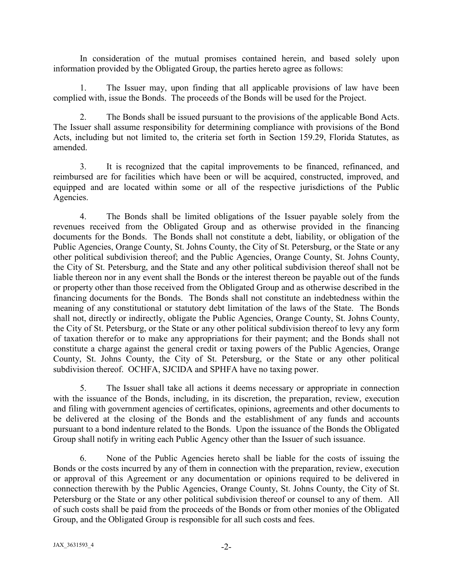In consideration of the mutual promises contained herein, and based solely upon information provided by the Obligated Group, the parties hereto agree as follows:

1. The Issuer may, upon finding that all applicable provisions of law have been complied with, issue the Bonds. The proceeds of the Bonds will be used for the Project.

2. The Bonds shall be issued pursuant to the provisions of the applicable Bond Acts. The Issuer shall assume responsibility for determining compliance with provisions of the Bond Acts, including but not limited to, the criteria set forth in Section 159.29, Florida Statutes, as amended.

3. It is recognized that the capital improvements to be financed, refinanced, and reimbursed are for facilities which have been or will be acquired, constructed, improved, and equipped and are located within some or all of the respective jurisdictions of the Public Agencies.

4. The Bonds shall be limited obligations of the Issuer payable solely from the revenues received from the Obligated Group and as otherwise provided in the financing documents for the Bonds. The Bonds shall not constitute a debt, liability, or obligation of the Public Agencies, Orange County, St. Johns County, the City of St. Petersburg, or the State or any other political subdivision thereof; and the Public Agencies, Orange County, St. Johns County, the City of St. Petersburg, and the State and any other political subdivision thereof shall not be liable thereon nor in any event shall the Bonds or the interest thereon be payable out of the funds or property other than those received from the Obligated Group and as otherwise described in the financing documents for the Bonds. The Bonds shall not constitute an indebtedness within the meaning of any constitutional or statutory debt limitation of the laws of the State. The Bonds shall not, directly or indirectly, obligate the Public Agencies, Orange County, St. Johns County, the City of St. Petersburg, or the State or any other political subdivision thereof to levy any form of taxation therefor or to make any appropriations for their payment; and the Bonds shall not constitute a charge against the general credit or taxing powers of the Public Agencies, Orange County, St. Johns County, the City of St. Petersburg, or the State or any other political subdivision thereof. OCHFA, SJCIDA and SPHFA have no taxing power.

5. The Issuer shall take all actions it deems necessary or appropriate in connection with the issuance of the Bonds, including, in its discretion, the preparation, review, execution and filing with government agencies of certificates, opinions, agreements and other documents to be delivered at the closing of the Bonds and the establishment of any funds and accounts pursuant to a bond indenture related to the Bonds. Upon the issuance of the Bonds the Obligated Group shall notify in writing each Public Agency other than the Issuer of such issuance.

6. None of the Public Agencies hereto shall be liable for the costs of issuing the Bonds or the costs incurred by any of them in connection with the preparation, review, execution or approval of this Agreement or any documentation or opinions required to be delivered in connection therewith by the Public Agencies, Orange County, St. Johns County, the City of St. Petersburg or the State or any other political subdivision thereof or counsel to any of them. All of such costs shall be paid from the proceeds of the Bonds or from other monies of the Obligated Group, and the Obligated Group is responsible for all such costs and fees.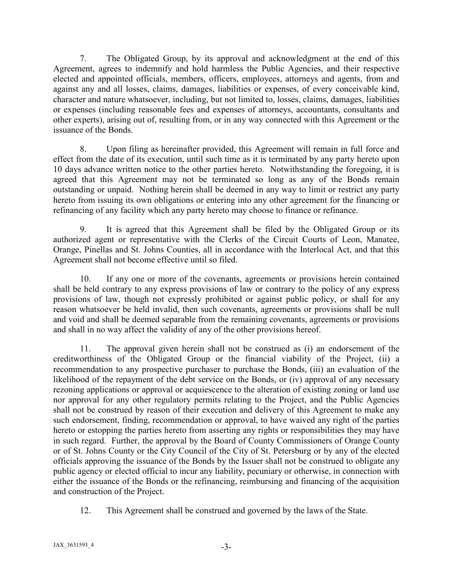7. The Obligated Group, by its approval and acknowledgment at the end of this Agreement, agrees to indemnify and hold harmless the Public Agencies, and their respective elected and appointed officials, members, officers, employees, attorneys and agents, from and against any and all losses, claims, damages, liabilities or expenses, of every conceivable kind, character and nature whatsoever, including, but not limited to, losses, claims, damages, liabilities or expenses (including reasonable fees and expenses of attorneys, accountants, consultants and other experts), arising out of, resulting from, or in any way connected with this Agreement or the issuance of the Bonds.

8. Upon filing as hereinafter provided, this Agreement will remain in full force and effect from the date of its execution, until such time as it is terminated by any party hereto upon 10 days advance written notice to the other parties hereto. Notwithstanding the foregoing, it is agreed that this Agreement may not be terminated so long as any of the Bonds remain outstanding or unpaid. Nothing herein shall be deemed in any way to limit or restrict any party hereto from issuing its own obligations or entering into any other agreement for the financing or refinancing of any facility which any party hereto may choose to finance or refinance.

9. It is agreed that this Agreement shall be filed by the Obligated Group or its authorized agent or representative with the Clerks of the Circuit Courts of Leon, Manatee, Orange, Pinellas and St. Johns Counties, all in accordance with the Interlocal Act, and that this Agreement shall not become effective until so filed.

10. If any one or more of the covenants, agreements or provisions herein contained shall be held contrary to any express provisions of law or contrary to the policy of any express provisions of law, though not expressly prohibited or against public policy, or shall for any reason whatsoever be held invalid, then such covenants, agreements or provisions shall be null and void and shall be deemed separable from the remaining covenants, agreements or provisions and shall in no way affect the validity of any of the other provisions hereof.

11. The approval given herein shall not be construed as (i) an endorsement of the creditworthiness of the Obligated Group or the financial viability of the Project, (ii) a recommendation to any prospective purchaser to purchase the Bonds, (iii) an evaluation of the likelihood of the repayment of the debt service on the Bonds, or (iv) approval of any necessary rezoning applications or approval or acquiescence to the alteration of existing zoning or land use nor approval for any other regulatory permits relating to the Project, and the Public Agencies shall not be construed by reason of their execution and delivery of this Agreement to make any such endorsement, finding, recommendation or approval, to have waived any right of the parties hereto or estopping the parties hereto from asserting any rights or responsibilities they may have in such regard. Further, the approval by the Board of County Commissioners of Orange County or of St. Johns County or the City Council of the City of St. Petersburg or by any of the elected officials approving the issuance of the Bonds by the Issuer shall not be construed to obligate any public agency or elected official to incur any liability, pecuniary or otherwise, in connection with either the issuance of the Bonds or the refinancing, reimbursing and financing of the acquisition and construction of the Project.

12. This Agreement shall be construed and governed by the laws of the State.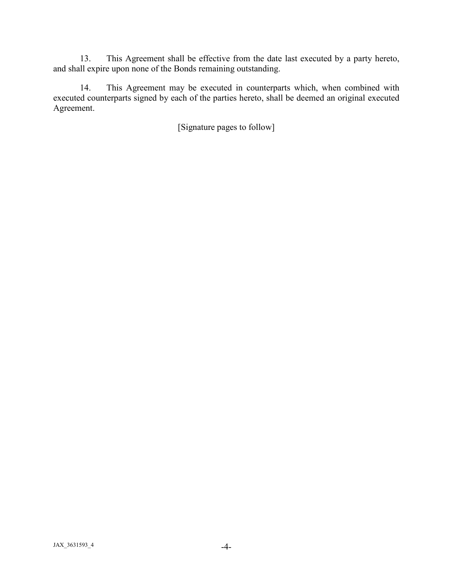13. This Agreement shall be effective from the date last executed by a party hereto, and shall expire upon none of the Bonds remaining outstanding.

14. This Agreement may be executed in counterparts which, when combined with executed counterparts signed by each of the parties hereto, shall be deemed an original executed Agreement.

[Signature pages to follow]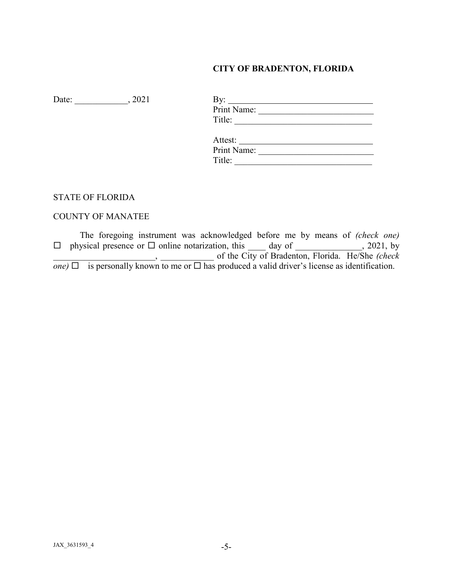# **CITY OF BRADENTON, FLORIDA**

Date: \_\_\_\_\_\_\_\_\_\_\_\_\_, 2021

| Print Name: |
|-------------|
| Title:      |
|             |
| Attest:     |
| Print Name: |
| Title:      |

#### STATE OF FLORIDA

## COUNTY OF MANATEE

The foregoing instrument was acknowledged before me by means of *(check one)*   $\square$  physical presence or  $\square$  online notarization, this \_\_\_\_ day of \_\_\_\_\_\_\_\_\_\_\_\_, 2021, by \_\_\_\_\_\_\_\_\_\_\_\_\_\_\_\_\_\_\_\_\_\_\_, \_\_\_\_\_\_\_\_\_\_\_\_ of the City of Bradenton, Florida. He/She *(check one*)  $\Box$  is personally known to me or  $\Box$  has produced a valid driver's license as identification.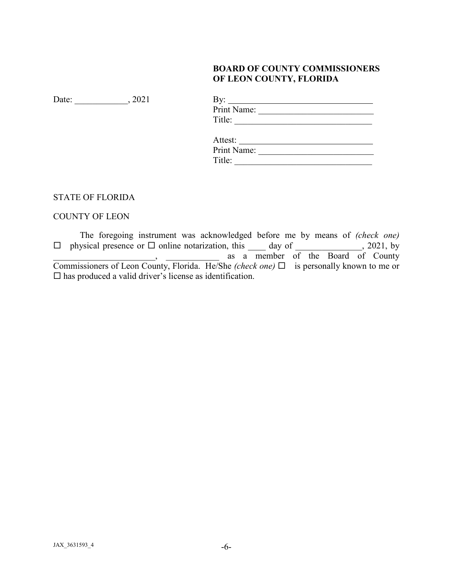# **BOARD OF COUNTY COMMISSIONERS OF LEON COUNTY, FLORIDA**

Date: \_\_\_\_\_\_\_\_\_\_\_\_\_, 2021

| Print Name: |  |
|-------------|--|
| Title:      |  |
|             |  |
| Attest:     |  |
| Print Name: |  |
| Title:      |  |

# STATE OF FLORIDA

# COUNTY OF LEON

The foregoing instrument was acknowledged before me by means of *(check one)*   $\square$  physical presence or  $\square$  online notarization, this \_\_\_\_ day of \_\_\_\_\_\_\_\_\_\_\_\_, 2021, by , as a member of the Board of County Commissioners of Leon County, Florida. He/She *(check one)* is personally known to me or  $\square$  has produced a valid driver's license as identification.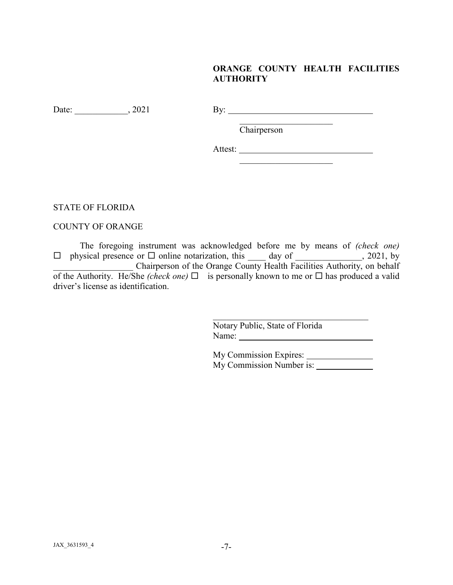# **ORANGE COUNTY HEALTH FACILITIES AUTHORITY**

 $\mathcal{L}_\text{max}$  , where  $\mathcal{L}_\text{max}$ 

Date: 2021 By: 2021 By:

**Chairperson** 

Attest:

STATE OF FLORIDA

COUNTY OF ORANGE

The foregoing instrument was acknowledged before me by means of *(check one)*   $\square$  physical presence or  $\square$  online notarization, this \_\_\_\_ day of \_\_\_\_\_\_\_\_\_\_\_\_, 2021, by \_\_\_\_\_\_\_\_\_\_\_\_\_\_\_\_\_\_ Chairperson of the Orange County Health Facilities Authority, on behalf of the Authority. He/She *(check one)*  $\Box$  is personally known to me or  $\Box$  has produced a valid driver's license as identification.

> $\mathcal{L}_\mathcal{L}$  , where  $\mathcal{L}_\mathcal{L}$  , we have the set of the set of the set of the set of the set of the set of the set of the set of the set of the set of the set of the set of the set of the set of the set of the set Notary Public, State of Florida Name:

> My Commission Expires: My Commission Number is: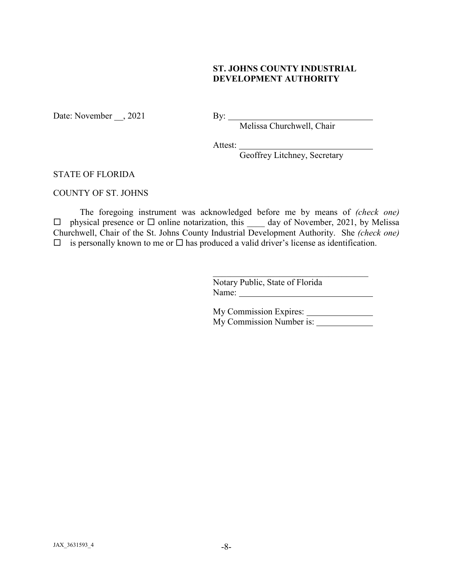### **ST. JOHNS COUNTY INDUSTRIAL DEVELOPMENT AUTHORITY**

Date: November , 2021

By: Melissa Churchwell, Chair

Attest:

Geoffrey Litchney, Secretary

#### STATE OF FLORIDA

#### COUNTY OF ST. JOHNS

The foregoing instrument was acknowledged before me by means of *(check one)*   $\Box$  physical presence or  $\Box$  online notarization, this \_\_\_\_\_ day of November, 2021, by Melissa Churchwell, Chair of the St. Johns County Industrial Development Authority. She *(check one)*  $\Box$  is personally known to me or  $\Box$  has produced a valid driver's license as identification.

> Notary Public, State of Florida Name:

My Commission Expires: My Commission Number is:

 $\mathcal{L}_\mathcal{L}$  , where  $\mathcal{L}_\mathcal{L}$  , we have the set of the set of the set of the set of the set of the set of the set of the set of the set of the set of the set of the set of the set of the set of the set of the set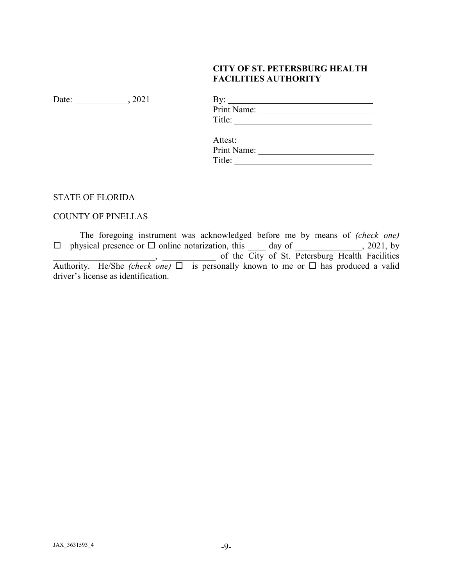# **CITY OF ST. PETERSBURG HEALTH FACILITIES AUTHORITY**

Date: \_\_\_\_\_\_\_\_\_\_\_\_\_, 2021

| By: $\qquad \qquad$ |  |
|---------------------|--|
| Print Name:         |  |
| Title:              |  |
|                     |  |
| Attest:             |  |
| Print Name:         |  |
| Title:              |  |

## STATE OF FLORIDA

# COUNTY OF PINELLAS

The foregoing instrument was acknowledged before me by means of *(check one)*   $\square$  physical presence or  $\square$  online notarization, this \_\_\_\_ day of \_\_\_\_\_\_\_\_\_\_\_\_, 2021, by **Example 2.1 All 2.2 Seconds** of the City of St. Petersburg Health Facilities Authority. He/She *(check one)*  $\Box$  is personally known to me or  $\Box$  has produced a valid driver's license as identification.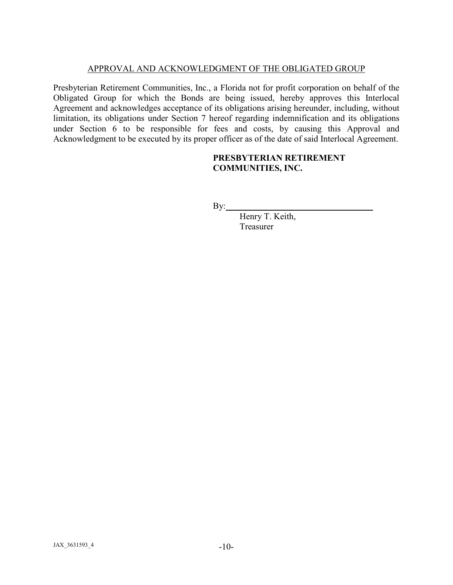### APPROVAL AND ACKNOWLEDGMENT OF THE OBLIGATED GROUP

Presbyterian Retirement Communities, Inc., a Florida not for profit corporation on behalf of the Obligated Group for which the Bonds are being issued, hereby approves this Interlocal Agreement and acknowledges acceptance of its obligations arising hereunder, including, without limitation, its obligations under Section 7 hereof regarding indemnification and its obligations under Section 6 to be responsible for fees and costs, by causing this Approval and Acknowledgment to be executed by its proper officer as of the date of said Interlocal Agreement.

#### **PRESBYTERIAN RETIREMENT COMMUNITIES, INC.**

 $By:$ 

Henry T. Keith, Treasurer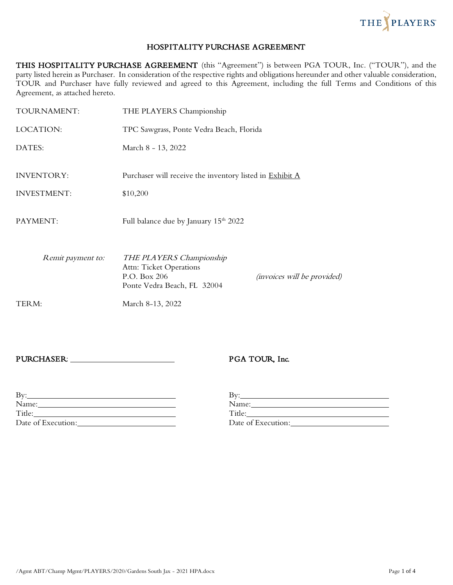

#### HOSPITALITY PURCHASE AGREEMENT

THIS HOSPITALITY PURCHASE AGREEMENT (this "Agreement") is between PGA TOUR, Inc. ("TOUR"), and the party listed herein as Purchaser. In consideration of the respective rights and obligations hereunder and other valuable consideration, TOUR and Purchaser have fully reviewed and agreed to this Agreement, including the full Terms and Conditions of this Agreement, as attached hereto.

| TOURNAMENT:                             | THE PLAYERS Championship                                                                                  |                                    |
|-----------------------------------------|-----------------------------------------------------------------------------------------------------------|------------------------------------|
| LOCATION:                               | TPC Sawgrass, Ponte Vedra Beach, Florida                                                                  |                                    |
| DATES:                                  | March 8 - 13, 2022                                                                                        |                                    |
| <b>INVENTORY:</b><br><b>INVESTMENT:</b> | Purchaser will receive the inventory listed in Exhibit A<br>\$10,200                                      |                                    |
| PAYMENT:                                | Full balance due by January 15 <sup>th</sup> 2022                                                         |                                    |
| Remit payment to:                       | THE PLAYERS Championship<br><b>Attn: Ticket Operations</b><br>P.O. Box 206<br>Ponte Vedra Beach, FL 32004 | <i>(invoices will be provided)</i> |
| TERM:                                   | March 8-13, 2022                                                                                          |                                    |

#### PURCHASER: PURCHASER: PURCHASER:

| Bv:                |                    |
|--------------------|--------------------|
| Name:              | Name:              |
| Title:             | Title:             |
| Date of Execution: | Date of Execution: |

| $\rm\,By:$         |  |
|--------------------|--|
| Name:              |  |
| Title:             |  |
| Date of Execution: |  |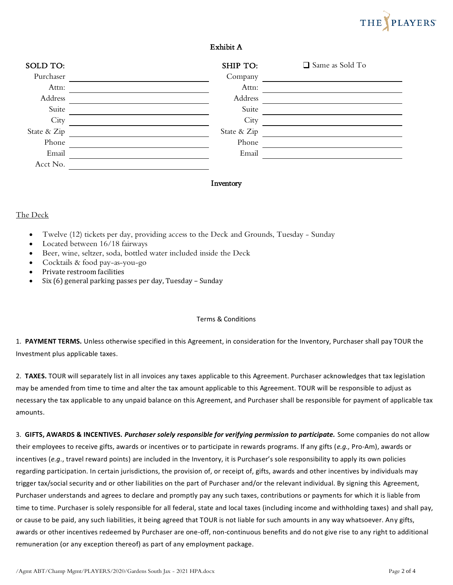# THE PLAYERS

#### Exhibit A

| SOLD TO:    | SHIP TO:    | Same as Sold To |
|-------------|-------------|-----------------|
| Purchaser   | Company     |                 |
| Attn:       | Attn:       |                 |
| Address     | Address     |                 |
| Suite       | Suite       |                 |
| City        | City        |                 |
| State & Zip | State & Zip |                 |
| Phone       | Phone       |                 |
| Email       | Email       |                 |
| Acct No.    |             |                 |

#### Inventory

#### The Deck

- Twelve (12) tickets per day, providing access to the Deck and Grounds, Tuesday Sunday
- Located between 16/18 fairways
- Beer, wine, seltzer, soda, bottled water included inside the Deck
- Cocktails & food pay-as-you-go
- Private restroom facilities
- Six (6) general parking passes per day, Tuesday Sunday

#### Terms & Conditions

1. **PAYMENT TERMS.** Unless otherwise specified in this Agreement, in consideration for the Inventory, Purchaser shall pay TOUR the Investment plus applicable taxes.

2. **TAXES.** TOUR will separately list in all invoices any taxes applicable to this Agreement. Purchaser acknowledges that tax legislation may be amended from time to time and alter the tax amount applicable to this Agreement. TOUR will be responsible to adjust as necessary the tax applicable to any unpaid balance on this Agreement, and Purchaser shall be responsible for payment of applicable tax amounts.

3. **GIFTS, AWARDS & INCENTIVES.** *Purchaser solely responsible for verifying permission to participate.* Some companies do not allow their employees to receive gifts, awards or incentives or to participate in rewards programs. If any gifts (*e.g.,* Pro-Am), awards or incentives (*e.g.*, travel reward points) are included in the Inventory, it is Purchaser's sole responsibility to apply its own policies regarding participation. In certain jurisdictions, the provision of, or receipt of, gifts, awards and other incentives by individuals may trigger tax/social security and or other liabilities on the part of Purchaser and/or the relevant individual. By signing this Agreement, Purchaser understands and agrees to declare and promptly pay any such taxes, contributions or payments for which it is liable from time to time. Purchaser is solely responsible for all federal, state and local taxes (including income and withholding taxes) and shall pay, or cause to be paid, any such liabilities, it being agreed that TOUR is not liable for such amounts in any way whatsoever. Any gifts, awards or other incentives redeemed by Purchaser are one-off, non-continuous benefits and do not give rise to any right to additional remuneration (or any exception thereof) as part of any employment package.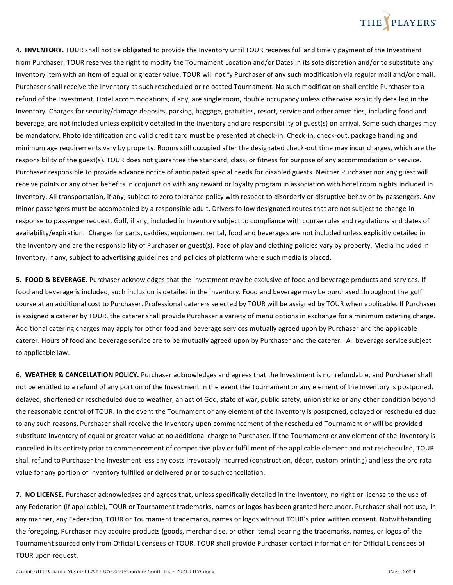# THE PLAYERS

4. **INVENTORY.** TOUR shall not be obligated to provide the Inventory until TOUR receives full and timely payment of the Investment from Purchaser. TOUR reserves the right to modify the Tournament Location and/or Dates in its sole discretion and/or to substitute any Inventory item with an item of equal or greater value. TOUR will notify Purchaser of any such modification via regular mail and/or email. Purchaser shall receive the Inventory at such rescheduled or relocated Tournament. No such modification shall entitle Purchaser to a refund of the Investment. Hotel accommodations, if any, are single room, double occupancy unless otherwise explicitly detailed in the Inventory. Charges for security/damage deposits, parking, baggage, gratuities, resort, service and other amenities, including food and beverage, are not included unless explicitly detailed in the Inventory and are responsibility of guest(s) on arrival. Some such charges may be mandatory. Photo identification and valid credit card must be presented at check-in. Check-in, check-out, package handling and minimum age requirements vary by property. Rooms still occupied after the designated check-out time may incur charges, which are the responsibility of the guest(s). TOUR does not guarantee the standard, class, or fitness for purpose of any accommodation or service. Purchaser responsible to provide advance notice of anticipated special needs for disabled guests. Neither Purchaser nor any guest will receive points or any other benefits in conjunction with any reward or loyalty program in association with hotel room nights included in Inventory. All transportation, if any, subject to zero tolerance policy with respect to disorderly or disruptive behavior by passengers. Any minor passengers must be accompanied by a responsible adult. Drivers follow designated routes that are not subject to change in response to passenger request. Golf, if any, included in Inventory subject to compliance with course rules and regulations and dates of availability/expiration. Charges for carts, caddies, equipment rental, food and beverages are not included unless explicitly detailed in the Inventory and are the responsibility of Purchaser or guest(s). Pace of play and clothing policies vary by property. Media included in Inventory, if any, subject to advertising guidelines and policies of platform where such media is placed.

**5. FOOD & BEVERAGE.** Purchaser acknowledges that the Investment may be exclusive of food and beverage products and services. If food and beverage is included, such inclusion is detailed in the Inventory. Food and beverage may be purchased throughout the golf course at an additional cost to Purchaser. Professional caterers selected by TOUR will be assigned by TOUR when applicable. If Purchaser is assigned a caterer by TOUR, the caterer shall provide Purchaser a variety of menu options in exchange for a minimum catering charge. Additional catering charges may apply for other food and beverage services mutually agreed upon by Purchaser and the applicable caterer. Hours of food and beverage service are to be mutually agreed upon by Purchaser and the caterer. All beverage service subject to applicable law.

6. **WEATHER & CANCELLATION POLICY.** Purchaser acknowledges and agrees that the Investment is nonrefundable, and Purchaser shall not be entitled to a refund of any portion of the Investment in the event the Tournament or any element of the Inventory is postponed, delayed, shortened or rescheduled due to weather, an act of God, state of war, public safety, union strike or any other condition beyond the reasonable control of TOUR. In the event the Tournament or any element of the Inventory is postponed, delayed or rescheduled due to any such reasons, Purchaser shall receive the Inventory upon commencement of the rescheduled Tournament or will be provided substitute Inventory of equal or greater value at no additional charge to Purchaser. If the Tournament or any element of the Inventory is cancelled in its entirety prior to commencement of competitive play or fulfillment of the applicable element and not rescheduled, TOUR shall refund to Purchaser the Investment less any costs irrevocably incurred (construction, décor, custom printing) and less the pro rata value for any portion of Inventory fulfilled or delivered prior to such cancellation.

**7. NO LICENSE.** Purchaser acknowledges and agrees that, unless specifically detailed in the Inventory, no right or license to the use of any Federation (if applicable), TOUR or Tournament trademarks, names or logos has been granted hereunder. Purchaser shall not use, in any manner, any Federation, TOUR or Tournament trademarks, names or logos without TOUR's prior written consent. Notwithstanding the foregoing, Purchaser may acquire products (goods, merchandise, or other items) bearing the trademarks, names, or logos of the Tournament sourced only from Official Licensees of TOUR. TOUR shall provide Purchaser contact information for Official Licensees of TOUR upon request.